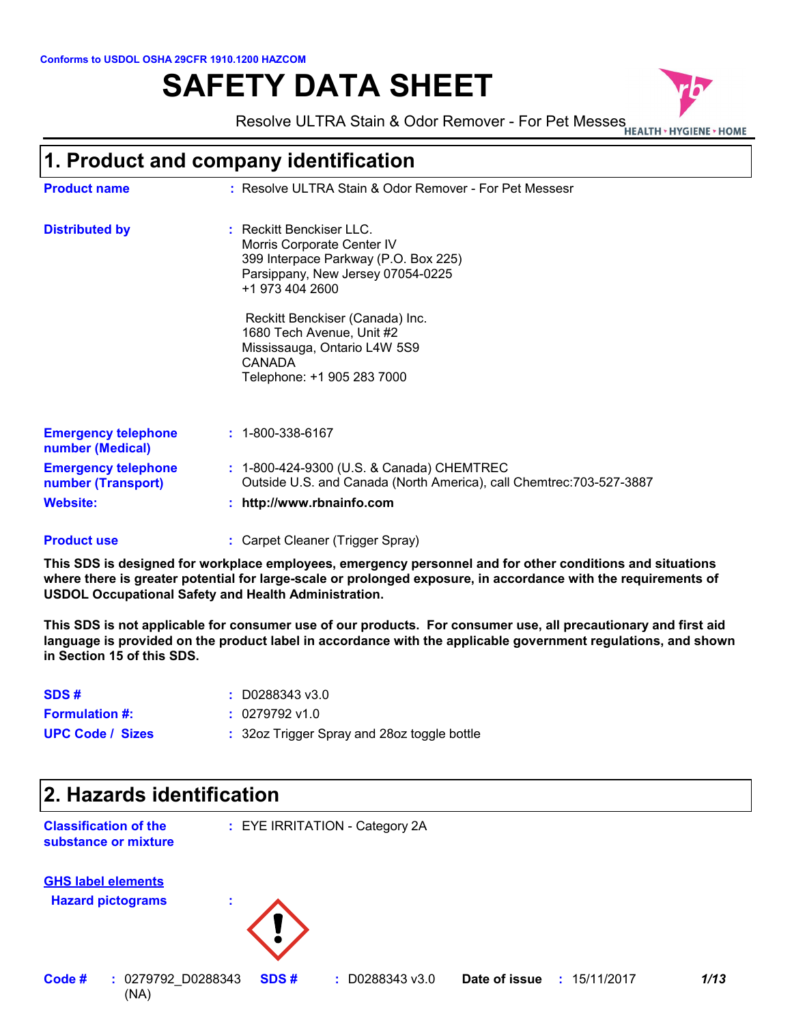#### **Conforms to USDOL OSHA 29CFR 1910.1200 HAZCOM**

# **SAFETY DATA SHEET**



Resolve ULTRA Stain & Odor Remover - For Pet Messes

### **1. Product and company identification**

| <b>Product name</b>                                                 | : Resolve ULTRA Stain & Odor Remover - For Pet Messesr                                                                                                 |
|---------------------------------------------------------------------|--------------------------------------------------------------------------------------------------------------------------------------------------------|
| <b>Distributed by</b>                                               | : Reckitt Benckiser LLC.<br>Morris Corporate Center IV<br>399 Interpace Parkway (P.O. Box 225)<br>Parsippany, New Jersey 07054-0225<br>+1 973 404 2600 |
|                                                                     | Reckitt Benckiser (Canada) Inc.<br>1680 Tech Avenue, Unit #2<br>Mississauga, Ontario L4W 5S9<br>CANADA<br>Telephone: +1 905 283 7000                   |
| <b>Emergency telephone</b><br>number (Medical)                      | $: 1 - 800 - 338 - 6167$                                                                                                                               |
| <b>Emergency telephone</b><br>number (Transport)<br><b>Website:</b> | : 1-800-424-9300 (U.S. & Canada) CHEMTREC<br>Outside U.S. and Canada (North America), call Chemtrec: 703-527-3887<br>http://www.rbnainfo.com           |

#### Carpet Cleaner (Trigger Spray) **: Product use**

**This SDS is designed for workplace employees, emergency personnel and for other conditions and situations where there is greater potential for large-scale or prolonged exposure, in accordance with the requirements of USDOL Occupational Safety and Health Administration.**

**This SDS is not applicable for consumer use of our products. For consumer use, all precautionary and first aid language is provided on the product label in accordance with the applicable government regulations, and shown in Section 15 of this SDS.**

| SDS#                    | $\pm $ D0288343 v3.0                        |
|-------------------------|---------------------------------------------|
| <b>Formulation #:</b>   | $: 0279792$ v1.0                            |
| <b>UPC Code / Sizes</b> | : 32oz Trigger Spray and 28oz toggle bottle |

# **2. Hazards identification Classification of the substance or mixture :** EYE IRRITATION - Category 2A **Hazard pictograms : GHS label elements**

(NA) **Code # :** 0279792 D0288343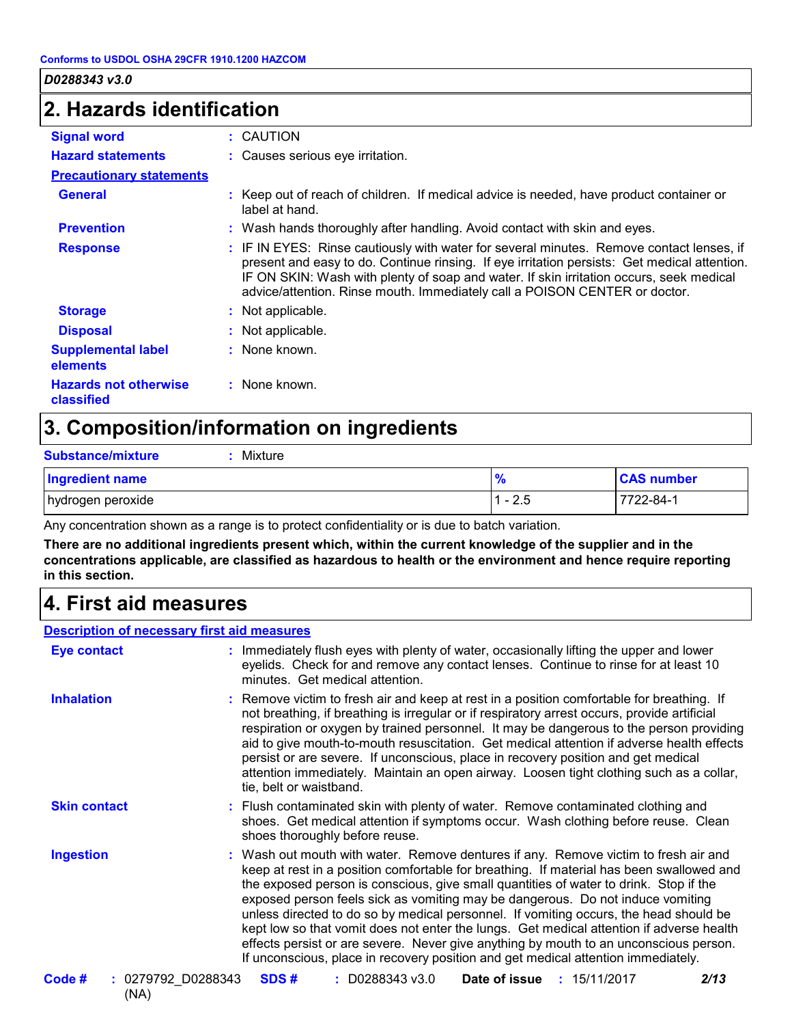### **2. Hazards identification**

| <b>Signal word</b>                         | : CAUTION                                                                                                                                                                                                                                                                                                                                                         |
|--------------------------------------------|-------------------------------------------------------------------------------------------------------------------------------------------------------------------------------------------------------------------------------------------------------------------------------------------------------------------------------------------------------------------|
| <b>Hazard statements</b>                   | : Causes serious eye irritation.                                                                                                                                                                                                                                                                                                                                  |
| <b>Precautionary statements</b>            |                                                                                                                                                                                                                                                                                                                                                                   |
| <b>General</b>                             | : Keep out of reach of children. If medical advice is needed, have product container or<br>label at hand.                                                                                                                                                                                                                                                         |
| <b>Prevention</b>                          | : Wash hands thoroughly after handling. Avoid contact with skin and eyes.                                                                                                                                                                                                                                                                                         |
| <b>Response</b>                            | : IF IN EYES: Rinse cautiously with water for several minutes. Remove contact lenses, if<br>present and easy to do. Continue rinsing. If eye irritation persists: Get medical attention.<br>IF ON SKIN: Wash with plenty of soap and water. If skin irritation occurs, seek medical<br>advice/attention. Rinse mouth. Immediately call a POISON CENTER or doctor. |
| <b>Storage</b>                             | : Not applicable.                                                                                                                                                                                                                                                                                                                                                 |
| <b>Disposal</b>                            | : Not applicable.                                                                                                                                                                                                                                                                                                                                                 |
| <b>Supplemental label</b><br>elements      | : None known.                                                                                                                                                                                                                                                                                                                                                     |
| <b>Hazards not otherwise</b><br>classified | : None known.                                                                                                                                                                                                                                                                                                                                                     |

## **3. Composition/information on ingredients**

| <b>Substance/mixture</b><br>Mixture |               |                   |
|-------------------------------------|---------------|-------------------|
| <b>Ingredient name</b>              | $\frac{9}{6}$ | <b>CAS number</b> |
| hydrogen peroxide                   | $1 - 2.5$     | 7722-84-1         |

Any concentration shown as a range is to protect confidentiality or is due to batch variation.

**There are no additional ingredients present which, within the current knowledge of the supplier and in the concentrations applicable, are classified as hazardous to health or the environment and hence require reporting in this section.**

### **4. First aid measures**

#### **Description of necessary first aid measures**

| Eye contact                            | : Immediately flush eyes with plenty of water, occasionally lifting the upper and lower<br>eyelids. Check for and remove any contact lenses. Continue to rinse for at least 10<br>minutes. Get medical attention.                                                                                                                                                                                                                                                                                                                                                                                                                                                                                                             |
|----------------------------------------|-------------------------------------------------------------------------------------------------------------------------------------------------------------------------------------------------------------------------------------------------------------------------------------------------------------------------------------------------------------------------------------------------------------------------------------------------------------------------------------------------------------------------------------------------------------------------------------------------------------------------------------------------------------------------------------------------------------------------------|
| <b>Inhalation</b>                      | : Remove victim to fresh air and keep at rest in a position comfortable for breathing. If<br>not breathing, if breathing is irregular or if respiratory arrest occurs, provide artificial<br>respiration or oxygen by trained personnel. It may be dangerous to the person providing<br>aid to give mouth-to-mouth resuscitation. Get medical attention if adverse health effects<br>persist or are severe. If unconscious, place in recovery position and get medical<br>attention immediately. Maintain an open airway. Loosen tight clothing such as a collar,<br>tie, belt or waistband.                                                                                                                                  |
| <b>Skin contact</b>                    | : Flush contaminated skin with plenty of water. Remove contaminated clothing and<br>shoes. Get medical attention if symptoms occur. Wash clothing before reuse. Clean<br>shoes thoroughly before reuse.                                                                                                                                                                                                                                                                                                                                                                                                                                                                                                                       |
| <b>Ingestion</b>                       | : Wash out mouth with water. Remove dentures if any. Remove victim to fresh air and<br>keep at rest in a position comfortable for breathing. If material has been swallowed and<br>the exposed person is conscious, give small quantities of water to drink. Stop if the<br>exposed person feels sick as vomiting may be dangerous. Do not induce vomiting<br>unless directed to do so by medical personnel. If vomiting occurs, the head should be<br>kept low so that vomit does not enter the lungs. Get medical attention if adverse health<br>effects persist or are severe. Never give anything by mouth to an unconscious person.<br>If unconscious, place in recovery position and get medical attention immediately. |
| Code #<br>$: 0279792$ D0288343<br>(NA) | SDS#<br>$: $ D0288343 v3.0<br>Date of issue<br>2/13<br>: 15/11/2017                                                                                                                                                                                                                                                                                                                                                                                                                                                                                                                                                                                                                                                           |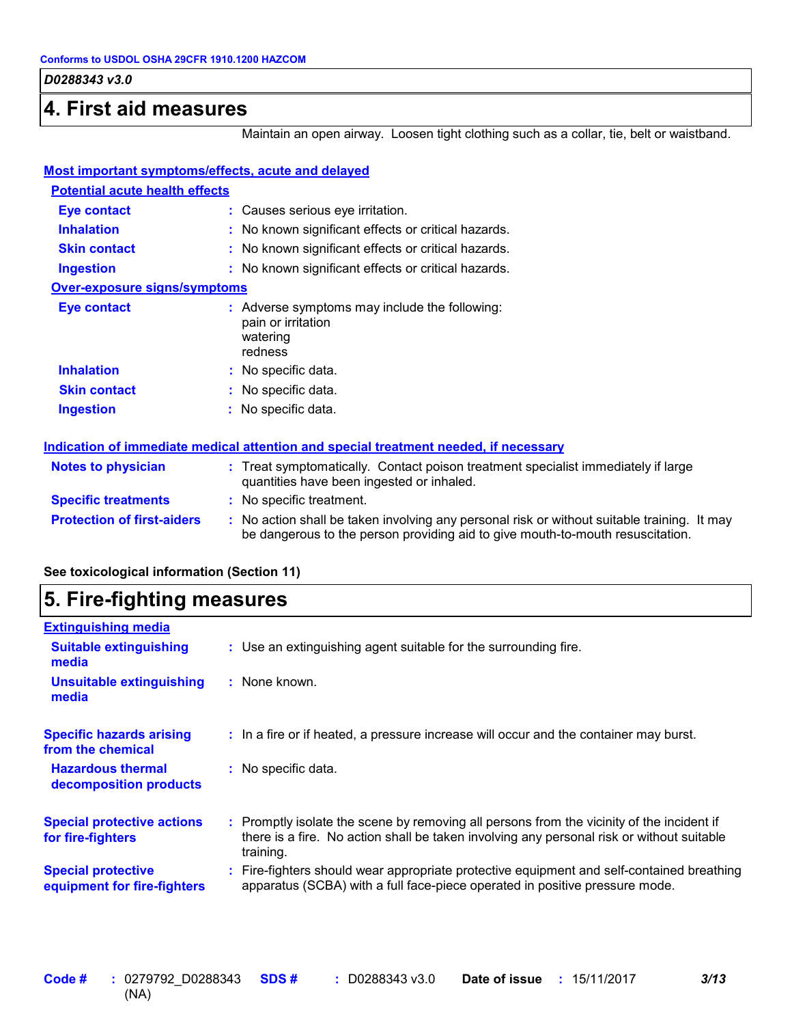### **4. First aid measures**

Maintain an open airway. Loosen tight clothing such as a collar, tie, belt or waistband.

| <b>Most important symptoms/effects, acute and delayed</b>                            |                                                                                                                                                                               |  |  |
|--------------------------------------------------------------------------------------|-------------------------------------------------------------------------------------------------------------------------------------------------------------------------------|--|--|
| <b>Potential acute health effects</b>                                                |                                                                                                                                                                               |  |  |
| Eye contact                                                                          | : Causes serious eye irritation.                                                                                                                                              |  |  |
| <b>Inhalation</b>                                                                    | : No known significant effects or critical hazards.                                                                                                                           |  |  |
| <b>Skin contact</b>                                                                  | : No known significant effects or critical hazards.                                                                                                                           |  |  |
| <b>Ingestion</b>                                                                     | : No known significant effects or critical hazards.                                                                                                                           |  |  |
| <b>Over-exposure signs/symptoms</b>                                                  |                                                                                                                                                                               |  |  |
| <b>Eye contact</b>                                                                   | : Adverse symptoms may include the following:<br>pain or irritation<br>watering<br>redness                                                                                    |  |  |
| <b>Inhalation</b>                                                                    | : No specific data.                                                                                                                                                           |  |  |
| <b>Skin contact</b>                                                                  | : No specific data.                                                                                                                                                           |  |  |
| <b>Ingestion</b>                                                                     | : No specific data.                                                                                                                                                           |  |  |
| Indication of immediate medical attention and special treatment needed, if necessary |                                                                                                                                                                               |  |  |
| <b>Notes to physician</b>                                                            | : Treat symptomatically. Contact poison treatment specialist immediately if large<br>quantities have been ingested or inhaled.                                                |  |  |
| <b>Specific treatments</b>                                                           | : No specific treatment.                                                                                                                                                      |  |  |
| <b>Protection of first-aiders</b>                                                    | : No action shall be taken involving any personal risk or without suitable training. It may<br>be dangerous to the person providing aid to give mouth-to-mouth resuscitation. |  |  |

#### **See toxicological information (Section 11)**

### **5. Fire-fighting measures**

| <b>Extinguishing media</b>                               |                                                                                                                                                                                                     |
|----------------------------------------------------------|-----------------------------------------------------------------------------------------------------------------------------------------------------------------------------------------------------|
| <b>Suitable extinguishing</b><br>media                   | : Use an extinguishing agent suitable for the surrounding fire.                                                                                                                                     |
| <b>Unsuitable extinguishing</b><br>media                 | $:$ None known.                                                                                                                                                                                     |
| <b>Specific hazards arising</b><br>from the chemical     | : In a fire or if heated, a pressure increase will occur and the container may burst.                                                                                                               |
| <b>Hazardous thermal</b><br>decomposition products       | : No specific data.                                                                                                                                                                                 |
| <b>Special protective actions</b><br>for fire-fighters   | : Promptly isolate the scene by removing all persons from the vicinity of the incident if<br>there is a fire. No action shall be taken involving any personal risk or without suitable<br>training. |
| <b>Special protective</b><br>equipment for fire-fighters | Fire-fighters should wear appropriate protective equipment and self-contained breathing<br>apparatus (SCBA) with a full face-piece operated in positive pressure mode.                              |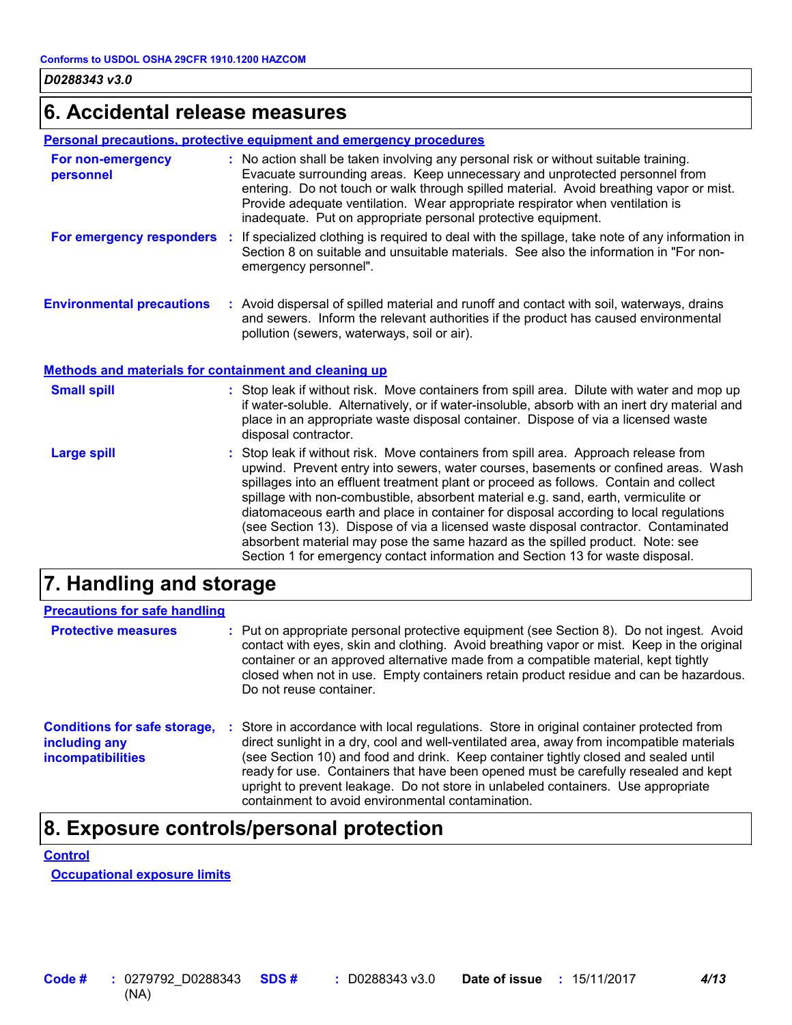### **6. Accidental release measures**

#### **Personal precautions, protective equipment and emergency procedures**

| For non-emergency<br>personnel   | : No action shall be taken involving any personal risk or without suitable training.<br>Evacuate surrounding areas. Keep unnecessary and unprotected personnel from<br>entering. Do not touch or walk through spilled material. Avoid breathing vapor or mist.<br>Provide adequate ventilation. Wear appropriate respirator when ventilation is<br>inadequate. Put on appropriate personal protective equipment. |
|----------------------------------|------------------------------------------------------------------------------------------------------------------------------------------------------------------------------------------------------------------------------------------------------------------------------------------------------------------------------------------------------------------------------------------------------------------|
| For emergency responders         | : If specialized clothing is required to deal with the spillage, take note of any information in<br>Section 8 on suitable and unsuitable materials. See also the information in "For non-<br>emergency personnel".                                                                                                                                                                                               |
| <b>Environmental precautions</b> | : Avoid dispersal of spilled material and runoff and contact with soil, waterways, drains<br>and sewers. Inform the relevant authorities if the product has caused environmental<br>pollution (sewers, waterways, soil or air).                                                                                                                                                                                  |

#### **Methods and materials for containment and cleaning up**

| <b>Small spill</b> | : Stop leak if without risk. Move containers from spill area. Dilute with water and mop up<br>if water-soluble. Alternatively, or if water-insoluble, absorb with an inert dry material and<br>place in an appropriate waste disposal container. Dispose of via a licensed waste<br>disposal contractor.                                                                                                                                                                                                                                                                                                                                                                                                     |
|--------------------|--------------------------------------------------------------------------------------------------------------------------------------------------------------------------------------------------------------------------------------------------------------------------------------------------------------------------------------------------------------------------------------------------------------------------------------------------------------------------------------------------------------------------------------------------------------------------------------------------------------------------------------------------------------------------------------------------------------|
| <b>Large spill</b> | : Stop leak if without risk. Move containers from spill area. Approach release from<br>upwind. Prevent entry into sewers, water courses, basements or confined areas. Wash<br>spillages into an effluent treatment plant or proceed as follows. Contain and collect<br>spillage with non-combustible, absorbent material e.g. sand, earth, vermiculite or<br>diatomaceous earth and place in container for disposal according to local regulations<br>(see Section 13). Dispose of via a licensed waste disposal contractor. Contaminated<br>absorbent material may pose the same hazard as the spilled product. Note: see<br>Section 1 for emergency contact information and Section 13 for waste disposal. |

### **7. Handling and storage**

| <b>Precautions for safe handling</b>                                             |    |                                                                                                                                                                                                                                                                                                                                                                                                                                                                                                             |
|----------------------------------------------------------------------------------|----|-------------------------------------------------------------------------------------------------------------------------------------------------------------------------------------------------------------------------------------------------------------------------------------------------------------------------------------------------------------------------------------------------------------------------------------------------------------------------------------------------------------|
| <b>Protective measures</b>                                                       |    | : Put on appropriate personal protective equipment (see Section 8). Do not ingest. Avoid<br>contact with eyes, skin and clothing. Avoid breathing vapor or mist. Keep in the original<br>container or an approved alternative made from a compatible material, kept tightly<br>closed when not in use. Empty containers retain product residue and can be hazardous.<br>Do not reuse container.                                                                                                             |
| <b>Conditions for safe storage,</b><br>including any<br><b>incompatibilities</b> | ÷. | Store in accordance with local regulations. Store in original container protected from<br>direct sunlight in a dry, cool and well-ventilated area, away from incompatible materials<br>(see Section 10) and food and drink. Keep container tightly closed and sealed until<br>ready for use. Containers that have been opened must be carefully resealed and kept<br>upright to prevent leakage. Do not store in unlabeled containers. Use appropriate<br>containment to avoid environmental contamination. |

### **8. Exposure controls/personal protection**

#### **Control**

**Occupational exposure limits**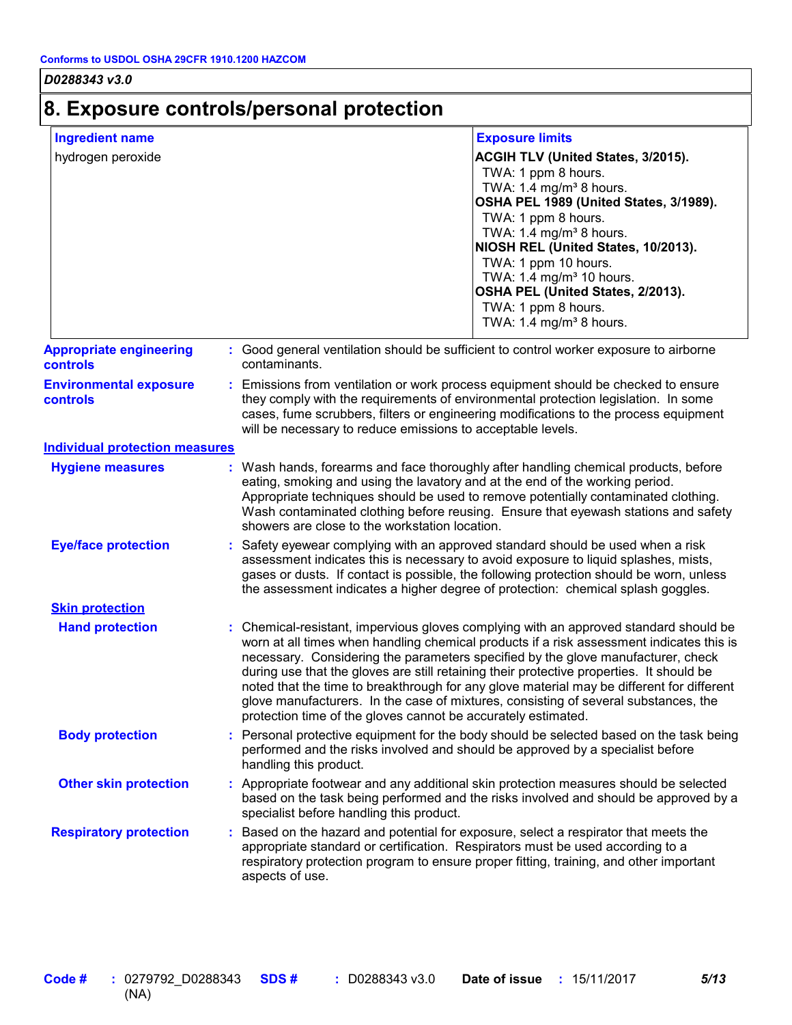#### **8. Exposure controls/personal protection** hydrogen peroxide **ACGIH TLV (United States, 3/2015).** TWA: 1 ppm 8 hours. TWA:  $1.4$  mg/m<sup>3</sup> 8 hours. **OSHA PEL 1989 (United States, 3/1989).** TWA: 1 ppm 8 hours. TWA:  $1.4 \text{ mg/m}^3$  8 hours. **NIOSH REL (United States, 10/2013).** TWA: 1 ppm 10 hours. TWA:  $1.4 \text{ mg/m}^3$  10 hours. **OSHA PEL (United States, 2/2013).** TWA: 1 ppm 8 hours. TWA:  $1.4 \text{ mg/m}^3$  8 hours. **Ingredient name Exposure limits Hand protection** Based on the hazard and potential for exposure, select a respirator that meets the appropriate standard or certification. Respirators must be used according to a respiratory protection program to ensure proper fitting, training, and other important aspects of use. Chemical-resistant, impervious gloves complying with an approved standard should be **:** worn at all times when handling chemical products if a risk assessment indicates this is necessary. Considering the parameters specified by the glove manufacturer, check during use that the gloves are still retaining their protective properties. It should be noted that the time to breakthrough for any glove material may be different for different glove manufacturers. In the case of mixtures, consisting of several substances, the protection time of the gloves cannot be accurately estimated. Safety eyewear complying with an approved standard should be used when a risk **:** assessment indicates this is necessary to avoid exposure to liquid splashes, mists, gases or dusts. If contact is possible, the following protection should be worn, unless the assessment indicates a higher degree of protection: chemical splash goggles. **Eye/face protection Respiratory protection : Body protection** : Personal protective equipment for the body should be selected based on the task being **Body** performed and the risks involved and should be approved by a specialist before handling this product. **Environmental exposure controls :** Emissions from ventilation or work process equipment should be checked to ensure they comply with the requirements of environmental protection legislation. In some cases, fume scrubbers, filters or engineering modifications to the process equipment will be necessary to reduce emissions to acceptable levels. **Appropriate engineering controls :** Good general ventilation should be sufficient to control worker exposure to airborne contaminants. Wash hands, forearms and face thoroughly after handling chemical products, before eating, smoking and using the lavatory and at the end of the working period. Appropriate techniques should be used to remove potentially contaminated clothing. Wash contaminated clothing before reusing. Ensure that eyewash stations and safety showers are close to the workstation location. **Hygiene measures : Individual protection measures Skin protection Other skin protection :** Appropriate footwear and any additional skin protection measures should be selected based on the task being performed and the risks involved and should be approved by a specialist before handling this product.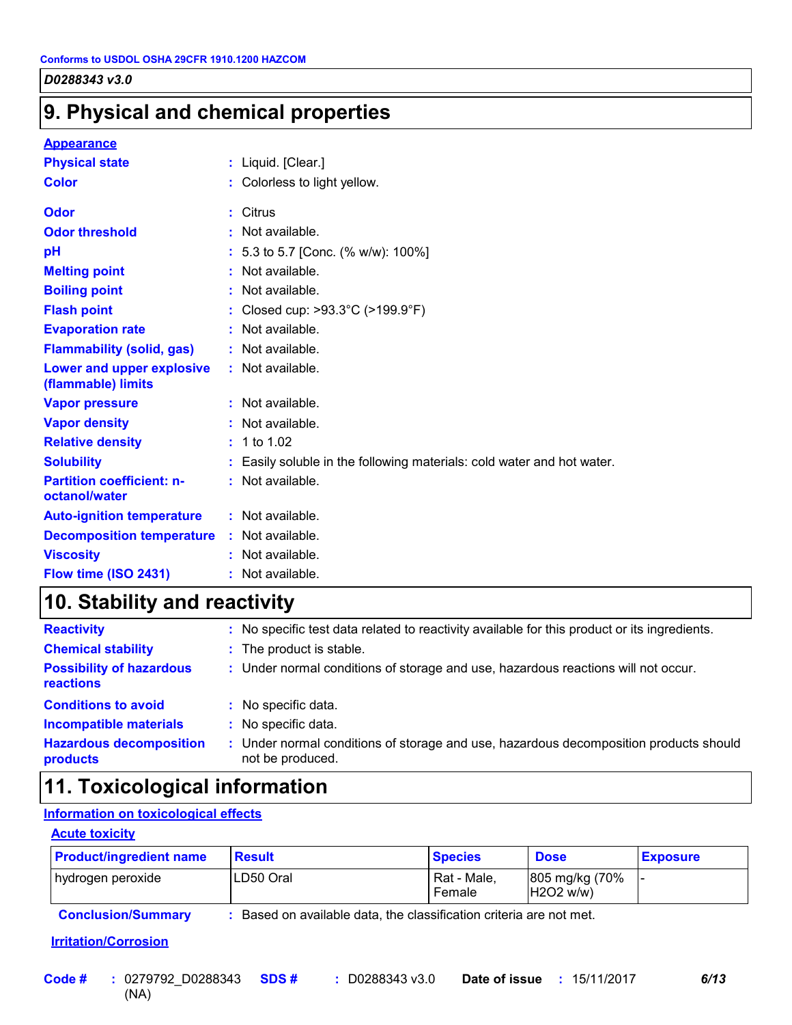### **9. Physical and chemical properties**

#### **Appearance**

| <b>Physical state</b>                             | : Liquid. [Clear.]                                                     |
|---------------------------------------------------|------------------------------------------------------------------------|
| <b>Color</b>                                      | : Colorless to light yellow.                                           |
| Odor                                              | : Citrus                                                               |
| <b>Odor threshold</b>                             | $\cdot$ Not available.                                                 |
| рH                                                | : 5.3 to 5.7 [Conc. (% w/w): 100%]                                     |
| <b>Melting point</b>                              | : Not available.                                                       |
| <b>Boiling point</b>                              | : Not available.                                                       |
| <b>Flash point</b>                                | : Closed cup: >93.3°C (>199.9°F)                                       |
| <b>Evaporation rate</b>                           | : Not available.                                                       |
| <b>Flammability (solid, gas)</b>                  | : Not available.                                                       |
| Lower and upper explosive<br>(flammable) limits   | : Not available.                                                       |
| <b>Vapor pressure</b>                             | $:$ Not available.                                                     |
| <b>Vapor density</b>                              | : Not available.                                                       |
| <b>Relative density</b>                           | : 1 to 1.02                                                            |
| <b>Solubility</b>                                 | : Easily soluble in the following materials: cold water and hot water. |
| <b>Partition coefficient: n-</b><br>octanol/water | : Not available.                                                       |
| <b>Auto-ignition temperature</b>                  | : Not available.                                                       |
| <b>Decomposition temperature</b>                  | : Not available.                                                       |
| <b>Viscosity</b>                                  | : Not available.                                                       |
| Flow time (ISO 2431)                              | : Not available.                                                       |

### **10. Stability and reactivity**

| <b>Reactivity</b>                            | No specific test data related to reactivity available for this product or its ingredients.                |
|----------------------------------------------|-----------------------------------------------------------------------------------------------------------|
| <b>Chemical stability</b>                    | : The product is stable.                                                                                  |
| <b>Possibility of hazardous</b><br>reactions | : Under normal conditions of storage and use, hazardous reactions will not occur.                         |
| <b>Conditions to avoid</b>                   | No specific data.                                                                                         |
| <b>Incompatible materials</b>                | No specific data.                                                                                         |
| <b>Hazardous decomposition</b><br>products   | : Under normal conditions of storage and use, hazardous decomposition products should<br>not be produced. |

### **11. Toxicological information**

#### **Information on toxicological effects**

#### **Acute toxicity**

| <b>Product/ingredient name</b> | <b>Result</b> | <b>Species</b>        | <b>Dose</b>                 | <b>Exposure</b> |
|--------------------------------|---------------|-----------------------|-----------------------------|-----------------|
| hydrogen peroxide              | ILD50 Oral    | Rat - Male.<br>Female | 805 mg/kg (70%<br>H2O2 w/w) |                 |
|                                | .             |                       |                             |                 |

**Conclusion/Summary :** Based on available data, the classification criteria are not met.

#### **Irritation/Corrosion**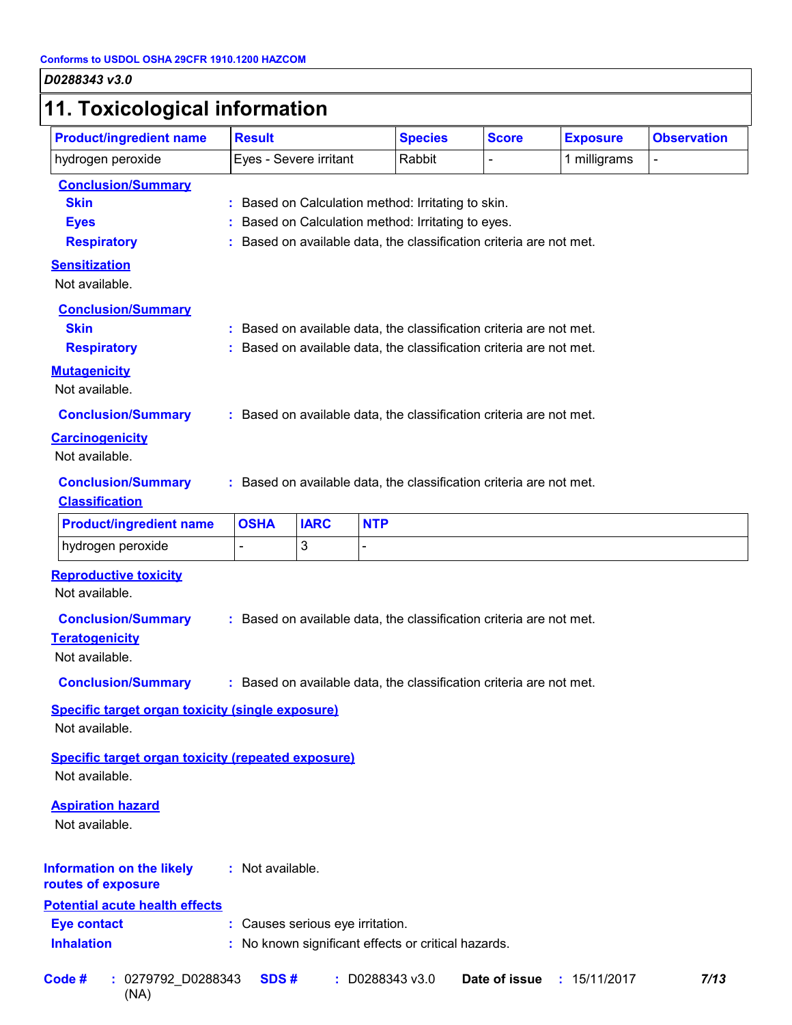# **11. Toxicological information**

| <b>Product/ingredient name</b>                                                                                                                                                                                   | <b>Result</b>          |                                  | <b>Species</b>                                                                                                                                                                                                                                                                                                              | <b>Score</b>  | <b>Exposure</b> | <b>Observation</b> |
|------------------------------------------------------------------------------------------------------------------------------------------------------------------------------------------------------------------|------------------------|----------------------------------|-----------------------------------------------------------------------------------------------------------------------------------------------------------------------------------------------------------------------------------------------------------------------------------------------------------------------------|---------------|-----------------|--------------------|
| hydrogen peroxide                                                                                                                                                                                                | Eyes - Severe irritant |                                  | Rabbit                                                                                                                                                                                                                                                                                                                      | L.            | 1 milligrams    | $\overline{a}$     |
| <b>Conclusion/Summary</b><br><b>Skin</b><br><b>Eyes</b><br><b>Respiratory</b><br><b>Sensitization</b><br>Not available.<br><b>Conclusion/Summary</b><br><b>Skin</b><br><b>Respiratory</b><br><b>Mutagenicity</b> |                        |                                  | : Based on Calculation method: Irritating to skin.<br>Based on Calculation method: Irritating to eyes.<br>: Based on available data, the classification criteria are not met.<br>: Based on available data, the classification criteria are not met.<br>: Based on available data, the classification criteria are not met. |               |                 |                    |
| Not available.<br><b>Conclusion/Summary</b><br><b>Carcinogenicity</b><br>Not available.<br><b>Conclusion/Summary</b><br><b>Classification</b>                                                                    |                        |                                  | : Based on available data, the classification criteria are not met.<br>: Based on available data, the classification criteria are not met.                                                                                                                                                                                  |               |                 |                    |
| <b>Product/ingredient name</b>                                                                                                                                                                                   | <b>OSHA</b>            | <b>IARC</b>                      | <b>NTP</b>                                                                                                                                                                                                                                                                                                                  |               |                 |                    |
| hydrogen peroxide                                                                                                                                                                                                |                        | 3                                |                                                                                                                                                                                                                                                                                                                             |               |                 |                    |
| <b>Reproductive toxicity</b><br>Not available.<br><b>Conclusion/Summary</b><br><b>Teratogenicity</b><br>Not available.<br><b>Conclusion/Summary</b>                                                              |                        |                                  | : Based on available data, the classification criteria are not met.<br>: Based on available data, the classification criteria are not met.                                                                                                                                                                                  |               |                 |                    |
| <b>Specific target organ toxicity (single exposure)</b><br>Not available.                                                                                                                                        |                        |                                  |                                                                                                                                                                                                                                                                                                                             |               |                 |                    |
| <b>Specific target organ toxicity (repeated exposure)</b><br>Not available.<br><b>Aspiration hazard</b><br>Not available.                                                                                        |                        |                                  |                                                                                                                                                                                                                                                                                                                             |               |                 |                    |
| <b>Information on the likely</b><br>routes of exposure<br><b>Potential acute health effects</b><br><b>Eye contact</b><br><b>Inhalation</b>                                                                       | : Not available.       | : Causes serious eye irritation. | : No known significant effects or critical hazards.                                                                                                                                                                                                                                                                         |               |                 |                    |
| Code#<br>: 0279792_D0288343<br>(NA)                                                                                                                                                                              | SDS#                   |                                  | : D0288343 v3.0                                                                                                                                                                                                                                                                                                             | Date of issue | : 15/11/2017    | 7/13               |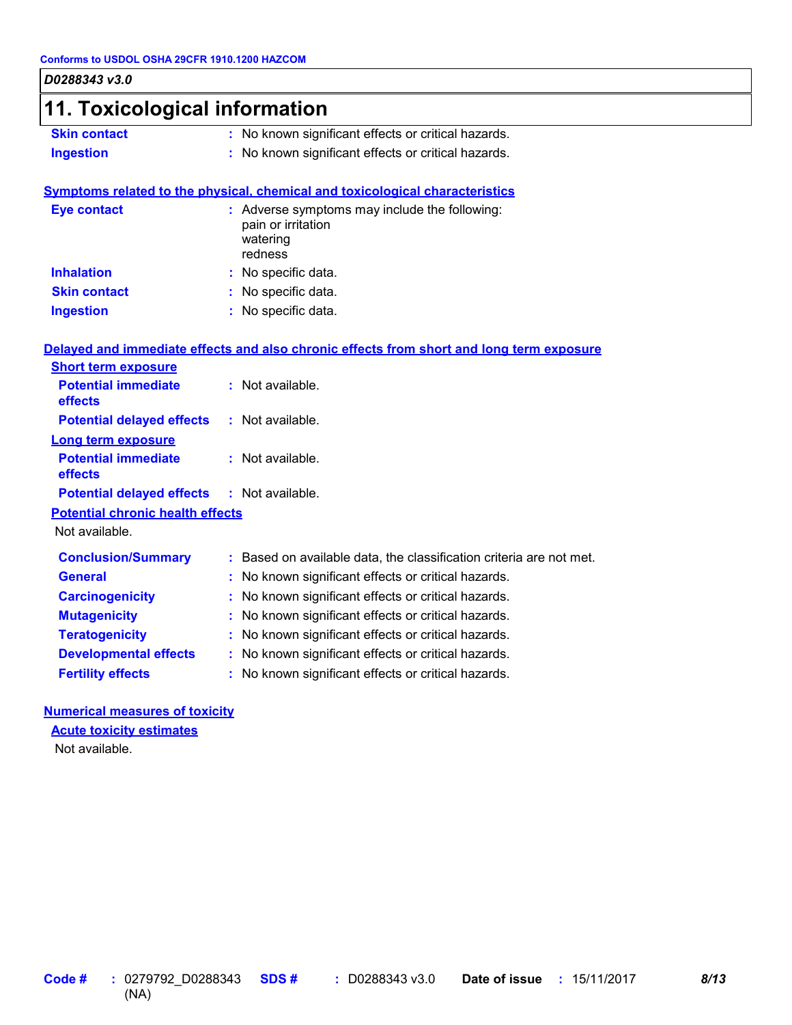| 11. Toxicological information           |                                                                                            |
|-----------------------------------------|--------------------------------------------------------------------------------------------|
| <b>Skin contact</b>                     | : No known significant effects or critical hazards.                                        |
| <b>Ingestion</b>                        | : No known significant effects or critical hazards.                                        |
|                                         | Symptoms related to the physical, chemical and toxicological characteristics               |
| <b>Eye contact</b>                      | : Adverse symptoms may include the following:<br>pain or irritation<br>watering<br>redness |
| <b>Inhalation</b>                       | : No specific data.                                                                        |
| <b>Skin contact</b>                     | : No specific data.                                                                        |
| <b>Ingestion</b>                        | : No specific data.                                                                        |
|                                         | Delayed and immediate effects and also chronic effects from short and long term exposure   |
| <b>Short term exposure</b>              |                                                                                            |
| <b>Potential immediate</b><br>effects   | : Not available.                                                                           |
| <b>Potential delayed effects</b>        | : Not available.                                                                           |
| <b>Long term exposure</b>               |                                                                                            |
| <b>Potential immediate</b><br>effects   | : Not available.                                                                           |
| <b>Potential delayed effects</b>        | : Not available.                                                                           |
| <b>Potential chronic health effects</b> |                                                                                            |
| Not available.                          |                                                                                            |
| <b>Conclusion/Summary</b>               | : Based on available data, the classification criteria are not met.                        |
| <b>General</b>                          | : No known significant effects or critical hazards.                                        |
| <b>Carcinogenicity</b>                  | : No known significant effects or critical hazards.                                        |
| <b>Mutagenicity</b>                     | : No known significant effects or critical hazards.                                        |
| <b>Teratogenicity</b>                   | : No known significant effects or critical hazards.                                        |
| <b>Developmental effects</b>            | : No known significant effects or critical hazards.                                        |
|                                         |                                                                                            |

### **Acute toxicity estimates**

Not available.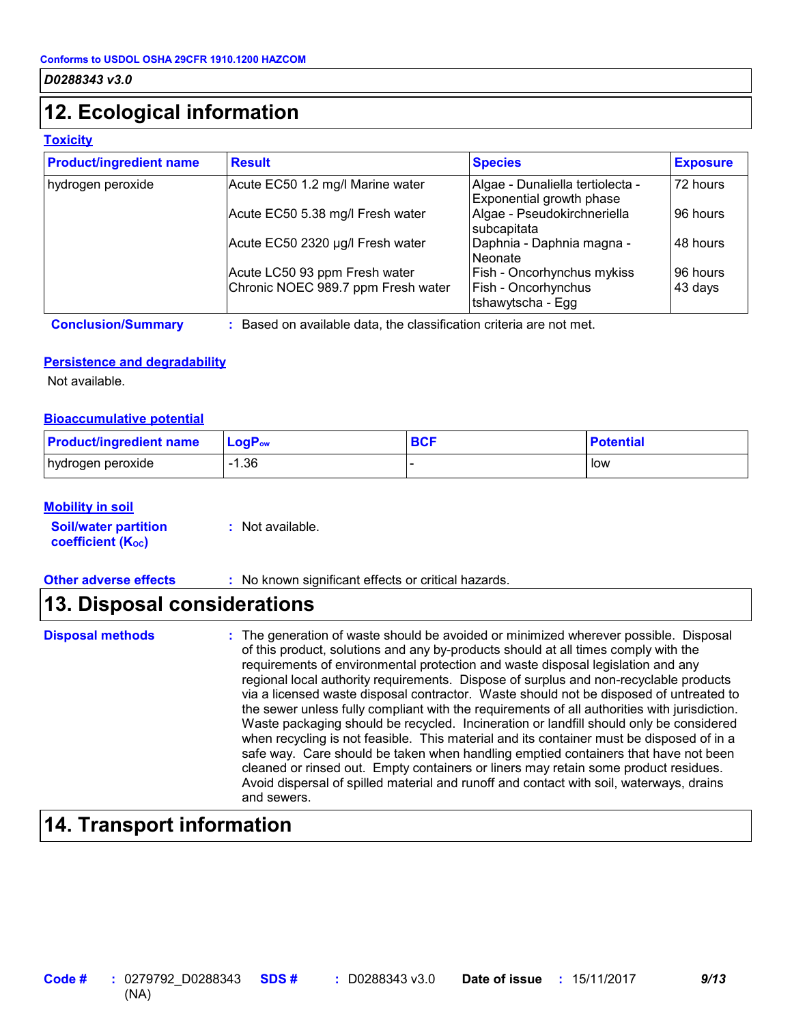### **12. Ecological information**

#### **Toxicity**

| <b>Product/ingredient name</b> | <b>Result</b>                                                       | <b>Species</b>                                                         | <b>Exposure</b>     |
|--------------------------------|---------------------------------------------------------------------|------------------------------------------------------------------------|---------------------|
| hydrogen peroxide              | Acute EC50 1.2 mg/l Marine water                                    | Algae - Dunaliella tertiolecta -<br>Exponential growth phase           | 72 hours            |
|                                | Acute EC50 5.38 mg/l Fresh water                                    | Algae - Pseudokirchneriella<br>subcapitata                             | 96 hours            |
|                                | Acute EC50 2320 µg/l Fresh water                                    | Daphnia - Daphnia magna -<br>Neonate                                   | 48 hours            |
|                                | Acute LC50 93 ppm Fresh water<br>Chronic NOEC 989.7 ppm Fresh water | Fish - Oncorhynchus mykiss<br>Fish - Oncorhynchus<br>tshawytscha - Egg | 96 hours<br>43 days |

**Conclusion/Summary :** Based on available data, the classification criteria are not met.

#### **Persistence and degradability**

Not available.

#### **Bioaccumulative potential**

| <b>Product/ingredient name</b> | LogP <sub>ow</sub> | <b>BCF</b> | <b>Potential</b> |
|--------------------------------|--------------------|------------|------------------|
| hydrogen peroxide              | $-1.36$            |            | low              |

#### **Mobility in soil**

**Soil/water partition coefficient (KOC) :** Not available.

**Other adverse effects** : No known significant effects or critical hazards.

### **13. Disposal considerations**

**Disposal methods** : The generation of waste should be avoided or minimized wherever possible. Disposal of this product, solutions and any by-products should at all times comply with the requirements of environmental protection and waste disposal legislation and any regional local authority requirements. Dispose of surplus and non-recyclable products via a licensed waste disposal contractor. Waste should not be disposed of untreated to the sewer unless fully compliant with the requirements of all authorities with jurisdiction. Waste packaging should be recycled. Incineration or landfill should only be considered when recycling is not feasible. This material and its container must be disposed of in a safe way. Care should be taken when handling emptied containers that have not been cleaned or rinsed out. Empty containers or liners may retain some product residues. Avoid dispersal of spilled material and runoff and contact with soil, waterways, drains and sewers.

### **14. Transport information**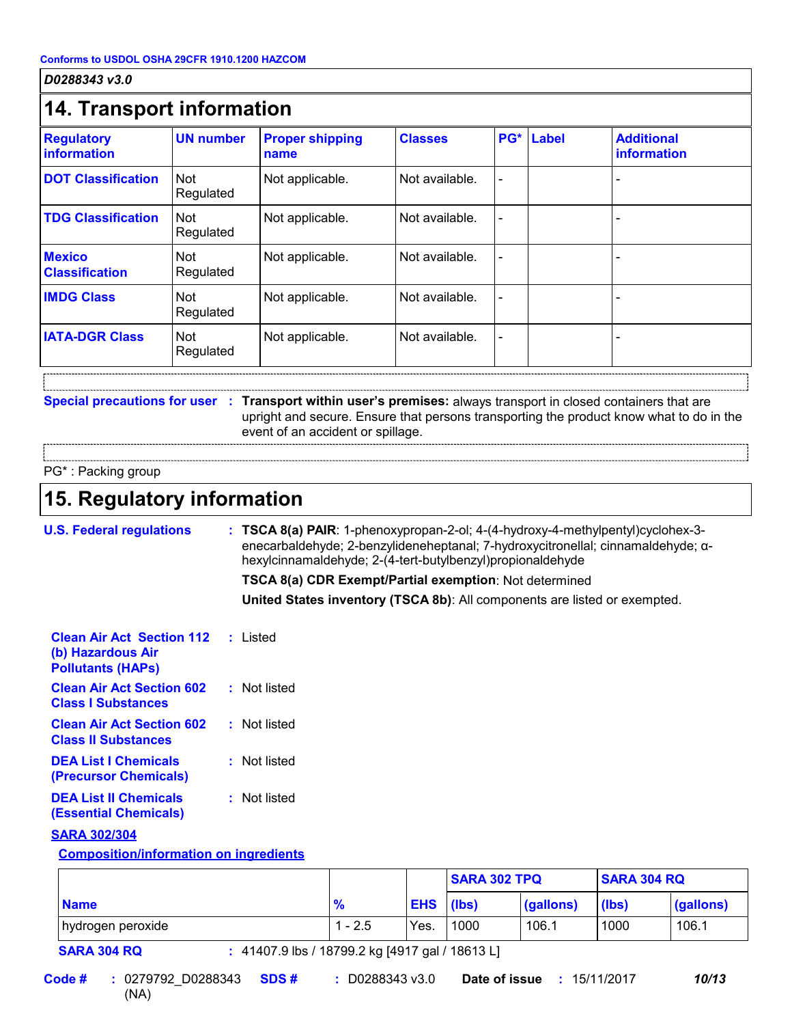| <b>Regulatory</b><br><b>information</b> | <b>UN number</b>        | <b>Proper shipping</b><br>name                                                                                                                       | <b>Classes</b> | $PG*$ | <b>Label</b> | <b>Additional</b><br>information                                                        |
|-----------------------------------------|-------------------------|------------------------------------------------------------------------------------------------------------------------------------------------------|----------------|-------|--------------|-----------------------------------------------------------------------------------------|
| <b>DOT Classification</b>               | <b>Not</b><br>Regulated | Not applicable.                                                                                                                                      | Not available. |       |              |                                                                                         |
| <b>TDG Classification</b>               | <b>Not</b><br>Regulated | Not applicable.                                                                                                                                      | Not available. |       |              |                                                                                         |
| <b>Mexico</b><br><b>Classification</b>  | <b>Not</b><br>Regulated | Not applicable.                                                                                                                                      | Not available. |       |              |                                                                                         |
| <b>IMDG Class</b>                       | Not<br>Regulated        | Not applicable.                                                                                                                                      | Not available. |       |              |                                                                                         |
| <b>IATA-DGR Class</b>                   | <b>Not</b><br>Regulated | Not applicable.                                                                                                                                      | Not available. |       |              |                                                                                         |
|                                         |                         | Special precautions for user : Transport within user's premises: always transport in closed containers that are<br>event of an accident or spillage. |                |       |              | upright and secure. Ensure that persons transporting the product know what to do in the |

### **15. Regulatory information**

**Ions : TSCA 8(a) PAIR**: 1-phenoxypropan-2-ol; 4-(4-hydroxy-4-methylpentyl)cyclohex-3enecarbaldehyde; 2-benzylideneheptanal; 7-hydroxycitronellal; cinnamaldehyde; αhexylcinnamaldehyde; 2-(4-tert-butylbenzyl)propionaldehyde

**TSCA 8(a) CDR Exempt/Partial exemption**: Not determined

**United States inventory (TSCA 8b)**: All components are listed or exempted.

| <b>Clean Air Act Section 112</b> : Listed<br>(b) Hazardous Air<br><b>Pollutants (HAPs)</b> |              |
|--------------------------------------------------------------------------------------------|--------------|
| <b>Clean Air Act Section 602</b><br><b>Class   Substances</b>                              | : Not listed |
| <b>Clean Air Act Section 602</b><br><b>Class II Substances</b>                             | : Not listed |
| <b>DEA List I Chemicals</b><br>(Precursor Chemicals)                                       | : Not listed |
| <b>DEA List II Chemicals</b><br><b>(Essential Chemicals)</b>                               | : Not listed |

#### **SARA 302/304**

#### **Composition/information on ingredients**

|                   |                    |                  | <b>SARA 302 TPQ</b> |           | <b>SARA 304 RQ</b> |           |
|-------------------|--------------------|------------------|---------------------|-----------|--------------------|-----------|
| <b>Name</b>       | $\mathbf{0}$<br>70 | <b>EHS</b> (lbs) |                     | (gallons) | (lbs)              | (gallons) |
| hydrogen peroxide | - 2.5              | Yes.             | 1000                | 106.1     | 1000               | 106.1     |

**SARA 304 RQ :** 41407.9 lbs / 18799.2 kg [4917 gal / 18613 L]

0279792\_D0288343 **SDS # Date of issue :**15/11/2017 *10/13* (NA) **Code #** : 0279792 D0288343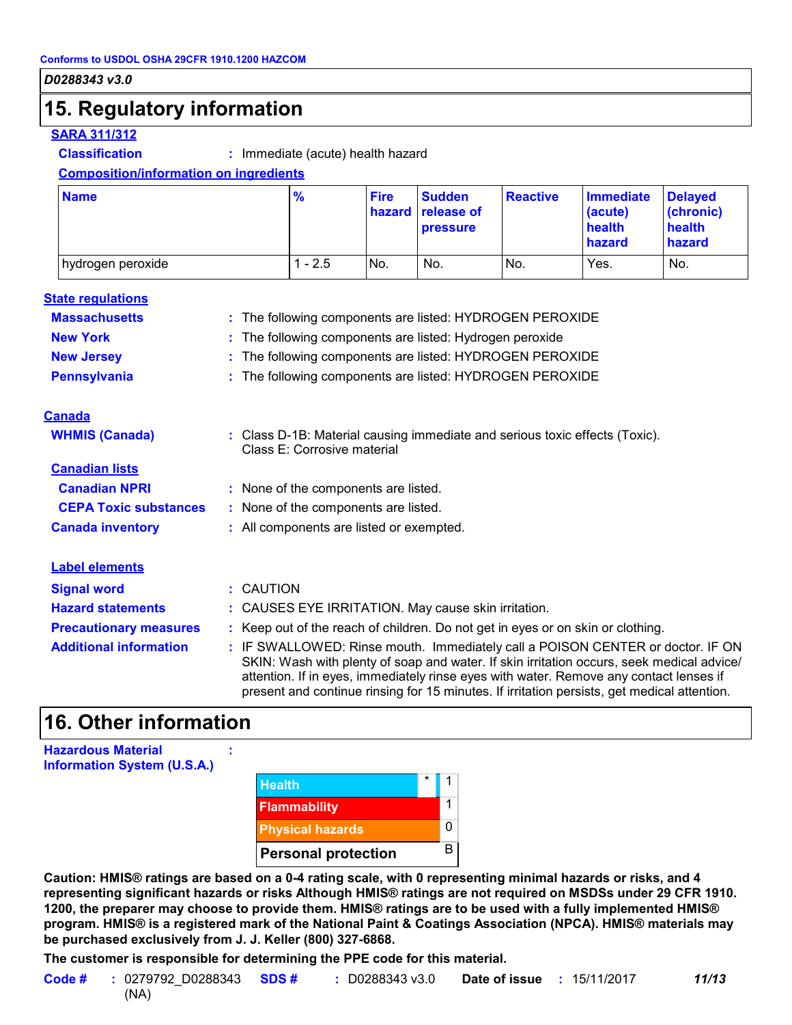### **15. Regulatory information**

#### **SARA 311/312**

**Classification :** Immediate (acute) health hazard

#### **Composition/information on ingredients**

| <b>Name</b>         | $\frac{9}{6}$ | <b>Fire</b> | <b>Sudden</b><br>hazard release of<br><b>pressure</b> | <b>Reactive</b> | <b>Immediate</b><br>(acute)<br>health<br><b>hazard</b> | <b>Delayed</b><br>(chronic)<br>health<br>hazard |
|---------------------|---------------|-------------|-------------------------------------------------------|-----------------|--------------------------------------------------------|-------------------------------------------------|
| I hydrogen peroxide | $-2.5$        | No.         | No.                                                   | No.             | Yes.                                                   | No.                                             |

| <b>State regulations</b>      |                                                                                                                                                                                                                                                                                                                                                                      |
|-------------------------------|----------------------------------------------------------------------------------------------------------------------------------------------------------------------------------------------------------------------------------------------------------------------------------------------------------------------------------------------------------------------|
| <b>Massachusetts</b>          | : The following components are listed: HYDROGEN PEROXIDE                                                                                                                                                                                                                                                                                                             |
| <b>New York</b>               | The following components are listed: Hydrogen peroxide<br>÷.                                                                                                                                                                                                                                                                                                         |
| <b>New Jersey</b>             | : The following components are listed: HYDROGEN PEROXIDE                                                                                                                                                                                                                                                                                                             |
| <b>Pennsylvania</b>           | : The following components are listed: HYDROGEN PEROXIDE                                                                                                                                                                                                                                                                                                             |
| <b>Canada</b>                 |                                                                                                                                                                                                                                                                                                                                                                      |
| <b>WHMIS (Canada)</b>         | : Class D-1B: Material causing immediate and serious toxic effects (Toxic).<br>Class E: Corrosive material                                                                                                                                                                                                                                                           |
| <b>Canadian lists</b>         |                                                                                                                                                                                                                                                                                                                                                                      |
| <b>Canadian NPRI</b>          | : None of the components are listed.                                                                                                                                                                                                                                                                                                                                 |
| <b>CEPA Toxic substances</b>  | : None of the components are listed.                                                                                                                                                                                                                                                                                                                                 |
| <b>Canada inventory</b>       | : All components are listed or exempted.                                                                                                                                                                                                                                                                                                                             |
| <b>Label elements</b>         |                                                                                                                                                                                                                                                                                                                                                                      |
| <b>Signal word</b>            | : CAUTION                                                                                                                                                                                                                                                                                                                                                            |
| <b>Hazard statements</b>      | : CAUSES EYE IRRITATION. May cause skin irritation.                                                                                                                                                                                                                                                                                                                  |
| <b>Precautionary measures</b> | : Keep out of the reach of children. Do not get in eyes or on skin or clothing.                                                                                                                                                                                                                                                                                      |
| <b>Additional information</b> | : IF SWALLOWED: Rinse mouth. Immediately call a POISON CENTER or doctor. IF ON<br>SKIN: Wash with plenty of soap and water. If skin irritation occurs, seek medical advice/<br>attention. If in eyes, immediately rinse eyes with water. Remove any contact lenses if<br>present and continue rinsing for 15 minutes. If irritation persists, get medical attention. |

### **16. Other information**

| <b>Hazardous Material</b>          |  |
|------------------------------------|--|
| <b>Information System (U.S.A.)</b> |  |

| <b>Health</b>              | $\star$ |   |
|----------------------------|---------|---|
| <b>Flammability</b>        |         |   |
| <b>Physical hazards</b>    |         | 0 |
| <b>Personal protection</b> |         | R |

**Caution: HMIS® ratings are based on a 0-4 rating scale, with 0 representing minimal hazards or risks, and 4 representing significant hazards or risks Although HMIS® ratings are not required on MSDSs under 29 CFR 1910. 1200, the preparer may choose to provide them. HMIS® ratings are to be used with a fully implemented HMIS® program. HMIS® is a registered mark of the National Paint & Coatings Association (NPCA). HMIS® materials may be purchased exclusively from J. J. Keller (800) 327-6868.**

**The customer is responsible for determining the PPE code for this material.**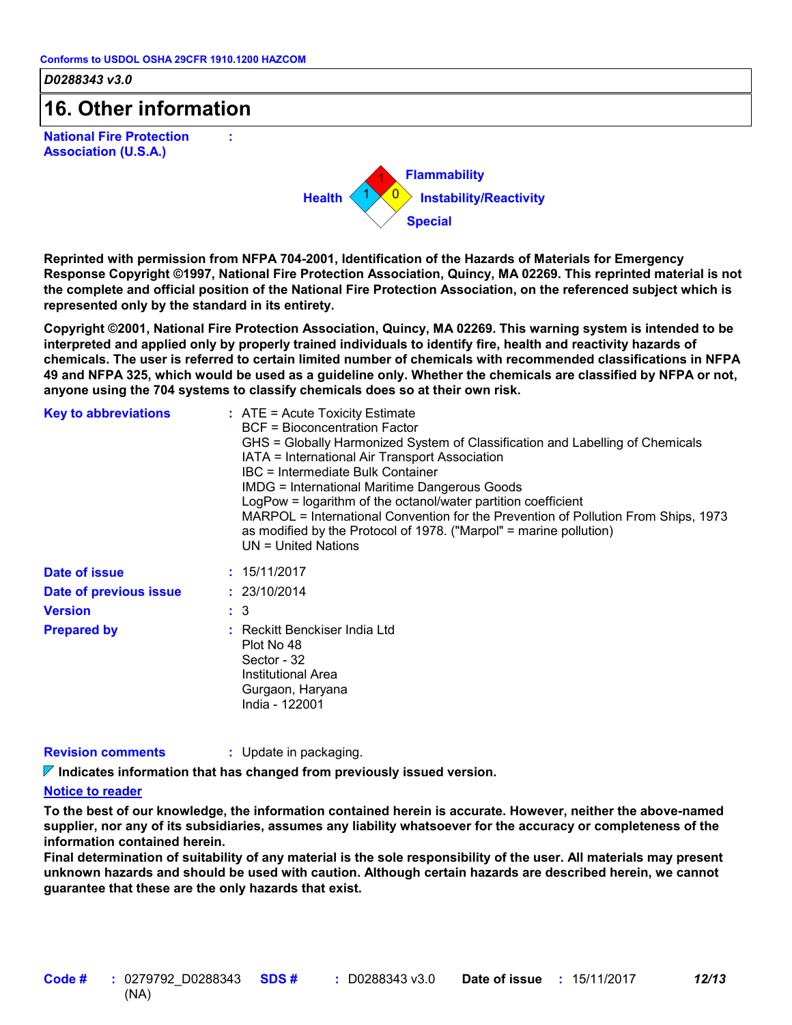**:**

*D0288343 v3.0*

### **16. Other information**

**National Fire Protection Association (U.S.A.)**



**Reprinted with permission from NFPA 704-2001, Identification of the Hazards of Materials for Emergency Response Copyright ©1997, National Fire Protection Association, Quincy, MA 02269. This reprinted material is not the complete and official position of the National Fire Protection Association, on the referenced subject which is represented only by the standard in its entirety.**

**Copyright ©2001, National Fire Protection Association, Quincy, MA 02269. This warning system is intended to be interpreted and applied only by properly trained individuals to identify fire, health and reactivity hazards of chemicals. The user is referred to certain limited number of chemicals with recommended classifications in NFPA 49 and NFPA 325, which would be used as a guideline only. Whether the chemicals are classified by NFPA or not, anyone using the 704 systems to classify chemicals does so at their own risk.**

| <b>Key to abbreviations</b> | $:$ ATE = Acute Toxicity Estimate<br>BCF = Bioconcentration Factor<br>GHS = Globally Harmonized System of Classification and Labelling of Chemicals<br>IATA = International Air Transport Association<br>IBC = Intermediate Bulk Container<br><b>IMDG = International Maritime Dangerous Goods</b><br>LogPow = logarithm of the octanol/water partition coefficient<br>MARPOL = International Convention for the Prevention of Pollution From Ships, 1973<br>as modified by the Protocol of 1978. ("Marpol" = marine pollution)<br>UN = United Nations |
|-----------------------------|--------------------------------------------------------------------------------------------------------------------------------------------------------------------------------------------------------------------------------------------------------------------------------------------------------------------------------------------------------------------------------------------------------------------------------------------------------------------------------------------------------------------------------------------------------|
| Date of issue               | : 15/11/2017                                                                                                                                                                                                                                                                                                                                                                                                                                                                                                                                           |
| Date of previous issue      | : 23/10/2014                                                                                                                                                                                                                                                                                                                                                                                                                                                                                                                                           |
| <b>Version</b>              | $\therefore$ 3                                                                                                                                                                                                                                                                                                                                                                                                                                                                                                                                         |
| <b>Prepared by</b>          | : Reckitt Benckiser India Ltd<br>Plot No 48<br>Sector - 32<br>Institutional Area<br>Gurgaon, Haryana<br>India - 122001                                                                                                                                                                                                                                                                                                                                                                                                                                 |

**Revision comments :** Update in packaging.

**Indicates information that has changed from previously issued version.**

#### **Notice to reader**

**To the best of our knowledge, the information contained herein is accurate. However, neither the above-named supplier, nor any of its subsidiaries, assumes any liability whatsoever for the accuracy or completeness of the information contained herein.**

**Final determination of suitability of any material is the sole responsibility of the user. All materials may present unknown hazards and should be used with caution. Although certain hazards are described herein, we cannot guarantee that these are the only hazards that exist.**